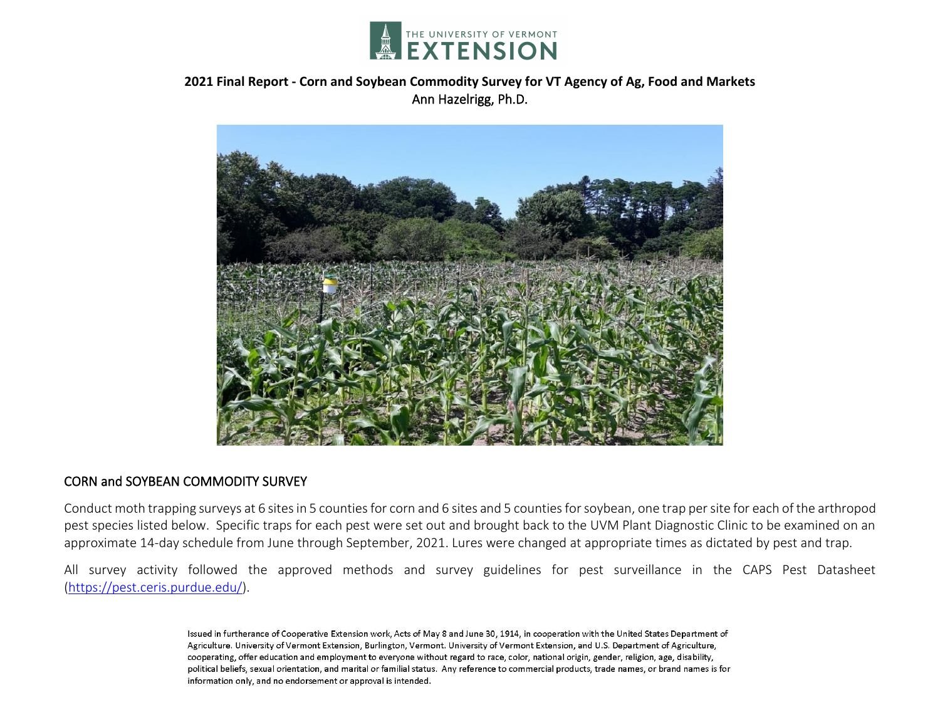

# **2021 Final Report - Corn and Soybean Commodity Survey for VT Agency of Ag, Food and Markets** Ann Hazelrigg, Ph.D.



#### CORN and SOYBEAN COMMODITY SURVEY

Conduct moth trapping surveys at 6 sites in 5 counties for corn and 6 sites and 5 counties for soybean, one trap per site for each of the arthropod pest species listed below. Specific traps for each pest were set out and brought back to the UVM Plant Diagnostic Clinic to be examined on an approximate 14-day schedule from June through September, 2021. Lures were changed at appropriate times as dictated by pest and trap.

All survey activity followed the approved methods and survey guidelines for pest surveillance in the CAPS Pest Datasheet [\(https://pest.ceris.purdue.edu/\)](https://pest.ceris.purdue.edu/).

> Issued in furtherance of Cooperative Extension work, Acts of May 8 and June 30, 1914, in cooperation with the United States Department of Agriculture. University of Vermont Extension, Burlington, Vermont. University of Vermont Extension, and U.S. Department of Agriculture, cooperating, offer education and employment to everyone without regard to race, color, national origin, gender, religion, age, disability, political beliefs, sexual orientation, and marital or familial status. Any reference to commercial products, trade names, or brand names is for information only, and no endorsement or approval is intended.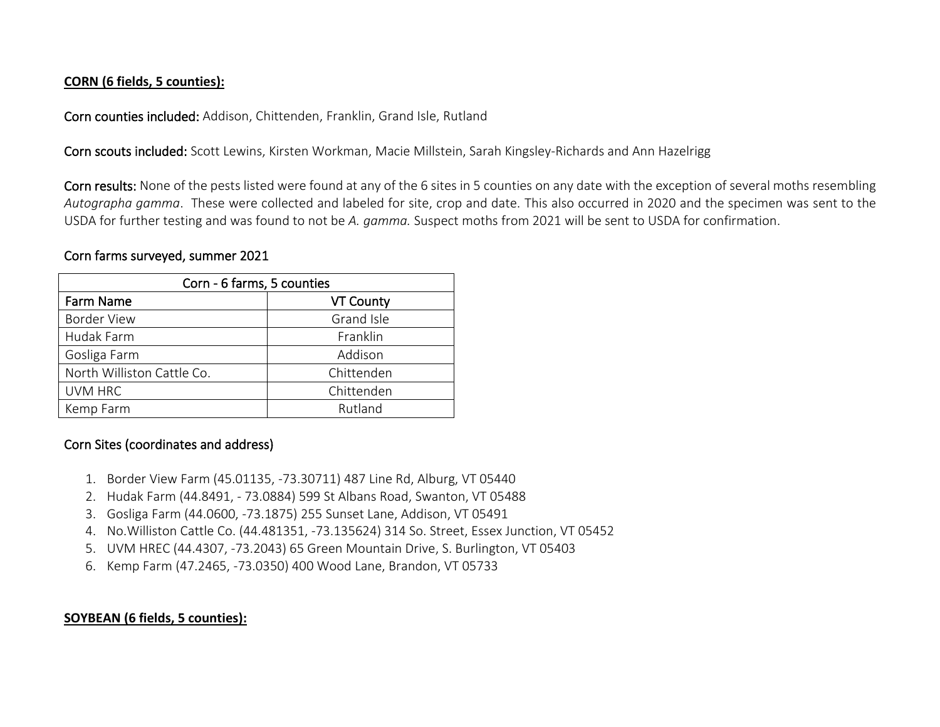### **CORN (6 fields, 5 counties):**

Corn counties included: Addison, Chittenden, Franklin, Grand Isle, Rutland

Corn scouts included: Scott Lewins, Kirsten Workman, Macie Millstein, Sarah Kingsley-Richards and Ann Hazelrigg

Corn results: None of the pests listed were found at any of the 6 sites in 5 counties on any date with the exception of several moths resembling *Autographa gamma*. These were collected and labeled for site, crop and date. This also occurred in 2020 and the specimen was sent to the USDA for further testing and was found to not be *A. gamma.* Suspect moths from 2021 will be sent to USDA for confirmation.

## Corn farms surveyed, summer 2021

| Corn - 6 farms, 5 counties |                  |
|----------------------------|------------------|
| <b>Farm Name</b>           | <b>VT County</b> |
| <b>Border View</b>         | Grand Isle       |
| Hudak Farm                 | Franklin         |
| Gosliga Farm               | Addison          |
| North Williston Cattle Co. | Chittenden       |
| <b>UVM HRC</b>             | Chittenden       |
| Kemp Farm                  | Rutland          |

# Corn Sites (coordinates and address)

- 1. Border View Farm (45.01135, -73.30711) 487 Line Rd, Alburg, VT 05440
- 2. Hudak Farm (44.8491, 73.0884) 599 St Albans Road, Swanton, VT 05488
- 3. Gosliga Farm (44.0600, -73.1875) 255 Sunset Lane, Addison, VT 05491
- 4. No.Williston Cattle Co. (44.481351, -73.135624) 314 So. Street, Essex Junction, VT 05452
- 5. UVM HREC (44.4307, -73.2043) 65 Green Mountain Drive, S. Burlington, VT 05403
- 6. Kemp Farm (47.2465, -73.0350) 400 Wood Lane, Brandon, VT 05733

# **SOYBEAN (6 fields, 5 counties):**